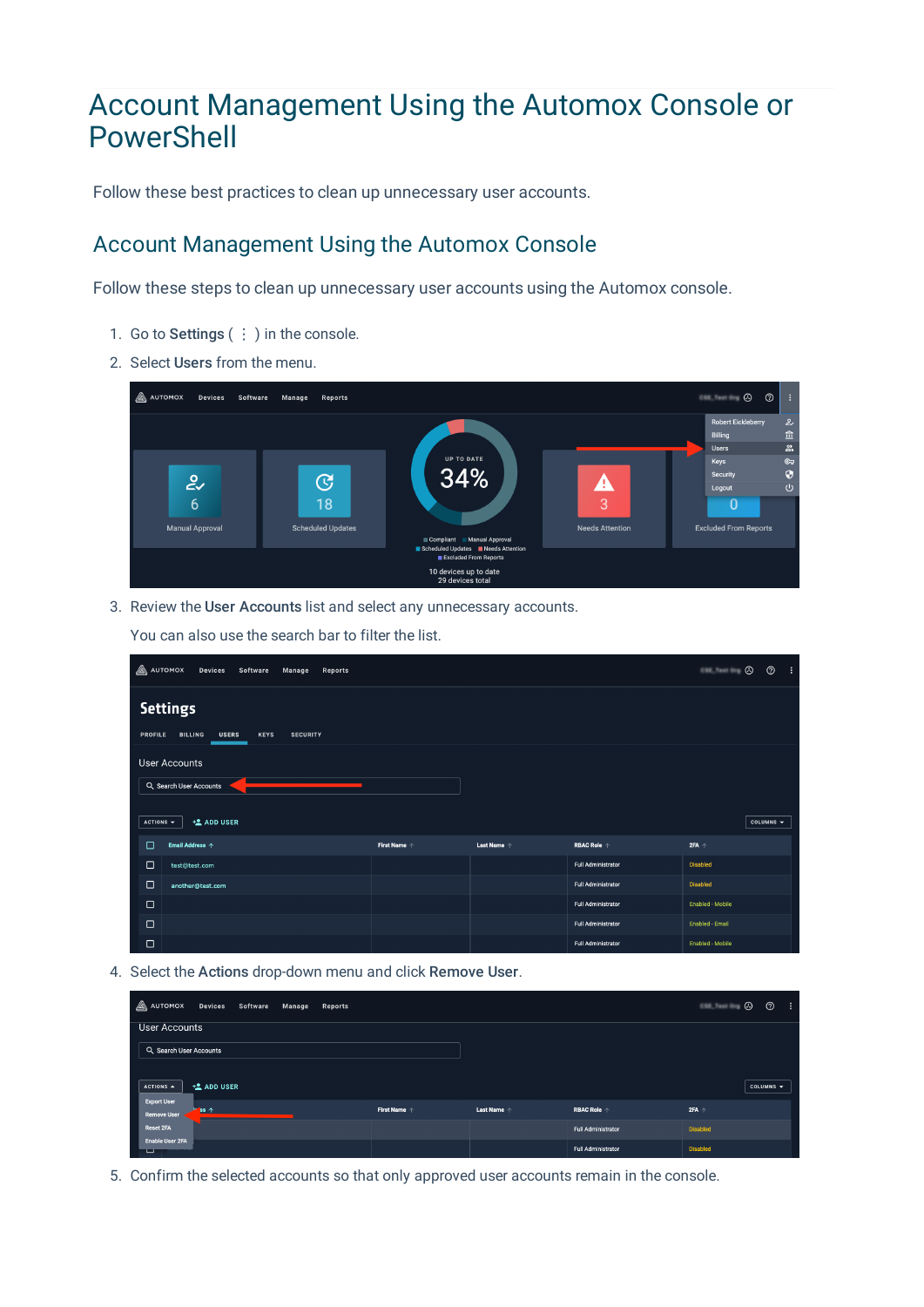# Account Management Using the Automox Console or PowerShell

Follow these best practices to clean up unnecessary user accounts.

## Account Management Using the Automox Console

Follow these steps to clean up unnecessary user accounts using the Automox console.

- 1. Go to Settings ( $\vdots$ ) in the console.
- 2. Select Users from the menu.



3. Review the User Accounts list and select any unnecessary accounts.

You can also use the search bar to filter the list.

| <b>A</b> AUTOMOX                                                            | Devices Software<br>Manage<br>Reports |                       |                      |                             | $\circ$ $\circ$  | $^{\circ}$     | ÷ |  |  |  |  |
|-----------------------------------------------------------------------------|---------------------------------------|-----------------------|----------------------|-----------------------------|------------------|----------------|---|--|--|--|--|
|                                                                             | <b>Settings</b>                       |                       |                      |                             |                  |                |   |  |  |  |  |
| <b>BILLING</b><br>PROFILE<br><b>USERS</b><br><b>KEYS</b><br><b>SECURITY</b> |                                       |                       |                      |                             |                  |                |   |  |  |  |  |
| <b>User Accounts</b>                                                        |                                       |                       |                      |                             |                  |                |   |  |  |  |  |
| Q. Search User Accounts                                                     |                                       |                       |                      |                             |                  |                |   |  |  |  |  |
|                                                                             |                                       |                       |                      |                             |                  |                |   |  |  |  |  |
| $ACTIONS =$                                                                 | <b>LADD USER</b>                      |                       |                      |                             |                  | COLUMNS $\sim$ |   |  |  |  |  |
| □                                                                           | Email Address 个                       | First Name $\uparrow$ | Last Name $\uparrow$ | <b>RBAC Role</b> $\uparrow$ | $2FA +$          |                |   |  |  |  |  |
| $\Box$                                                                      | test@test.com                         |                       |                      | <b>Full Administrator</b>   | <b>Disabled</b>  |                |   |  |  |  |  |
| $\Box$                                                                      | another@test.com                      |                       |                      | <b>Full Administrator</b>   | <b>Disabled</b>  |                |   |  |  |  |  |
| $\Box$                                                                      |                                       |                       |                      | <b>Full Administrator</b>   | Enabled - Mobile |                |   |  |  |  |  |
| $\Box$                                                                      |                                       |                       |                      | <b>Full Administrator</b>   | Enabled - Email  |                |   |  |  |  |  |
| $\Box$                                                                      |                                       |                       |                      | <b>Full Administrator</b>   | Enabled - Mobile |                |   |  |  |  |  |

4. Select the Actions drop-down menu and click Remove User.

| $\mathbb{A}$ automox<br>Devices Software Manage<br>Reports |                       |                      |                           | $\circ$ $\circ$ | $^{\circ}$                   | - 1 |
|------------------------------------------------------------|-----------------------|----------------------|---------------------------|-----------------|------------------------------|-----|
| User Accounts                                              |                       |                      |                           |                 |                              |     |
| Q Search User Accounts                                     |                       |                      |                           |                 |                              |     |
|                                                            |                       |                      |                           |                 |                              |     |
| <b>地 ADD USER</b><br>$ACTIONS$ $\rightarrow$               |                       |                      |                           |                 | COLUMNS $\blacktriangledown$ |     |
| <b>Export User</b><br>ss 个<br><b>Remove User</b>           | First Name $\uparrow$ | Last Name $\uparrow$ | <b>RBAC Role 个</b>        | $2FA +$         |                              |     |
| <b>Reset 2FA</b>                                           |                       |                      | <b>Full Administrator</b> | <b>Disabled</b> |                              |     |
| <b>Enable User 2FA</b><br>ॼ                                |                       |                      | <b>Full Administrator</b> | <b>Disabled</b> |                              |     |

5. Confirm the selected accounts so that only approved user accounts remain in the console.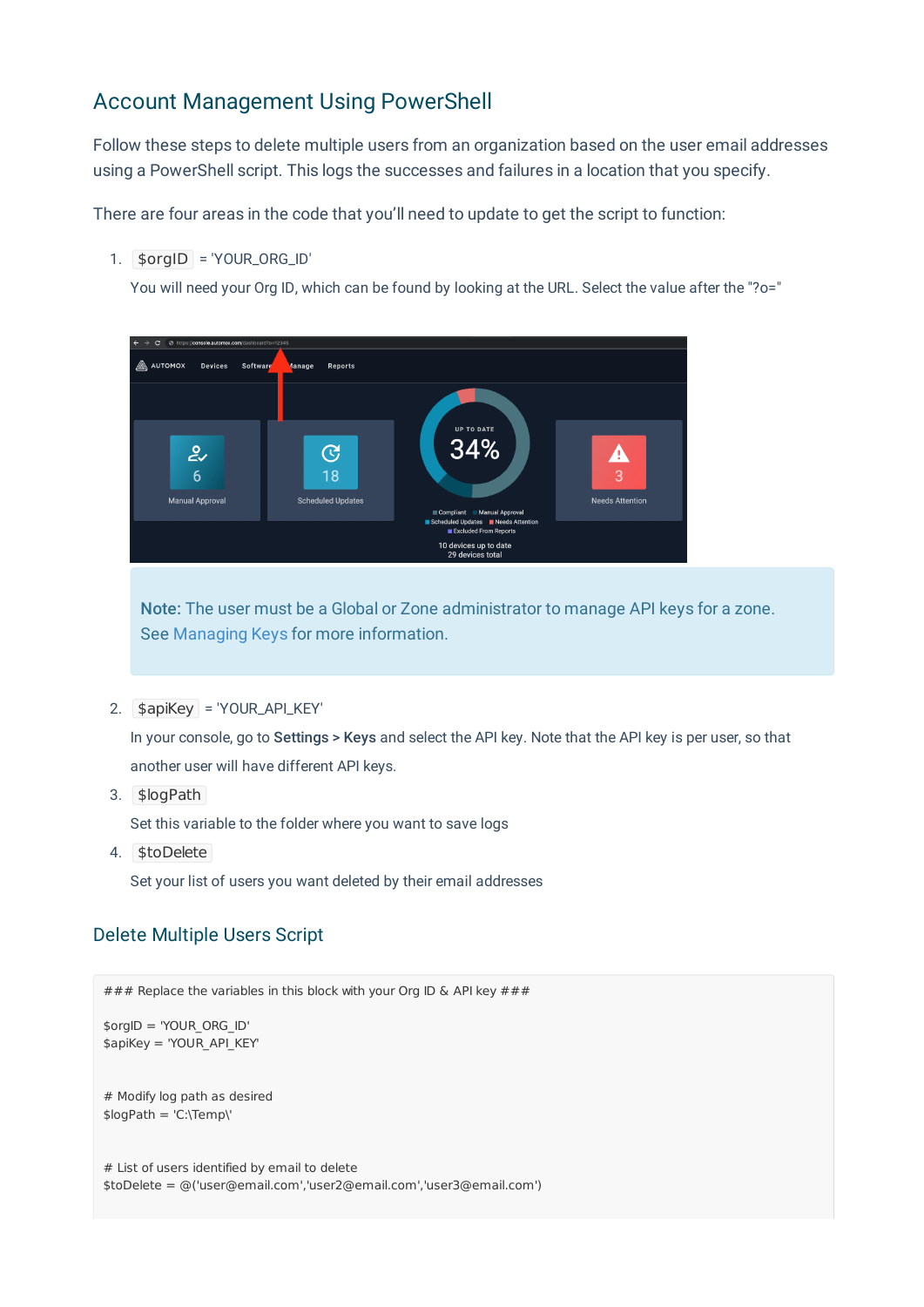## Account Management Using PowerShell

Follow these steps to delete multiple users from an organization based on the user email addresses using a PowerShell script. This logs the successes and failures in a location that you specify.

There are four areas in the code that you'll need to update to get the script to function:

1. \$orgID = 'YOUR\_ORG\_ID'

You will need your Org ID, which can be found by looking at the URL. Select the value after the "?o="



Note: The user must be a Global or Zone administrator to manage API keys for a zone. See Managing Keys for more information.

2. \$apiKey = 'YOUR\_API\_KEY'

In your console, go to Settings > Keys and select the API key. Note that the API key is per user, so that another user will have different API keys.

3. \$logPath

Set this variable to the folder where you want to save logs

4. \$toDelete

Set your list of users you want deleted by their email addresses

#### Delete Multiple Users Script

```
\# \# \# Replace the variables in this block with your Org ID & API key \# \# \#$orgID = 'YOUR_ORG_ID'
$apiKey = 'YOUR_API_KEY'
# Modify log path as desired
$logPath = 'C:\Temp\'
# List of users identified by email to delete
$toDelete = @('user@email.com','user2@email.com','user3@email.com')
```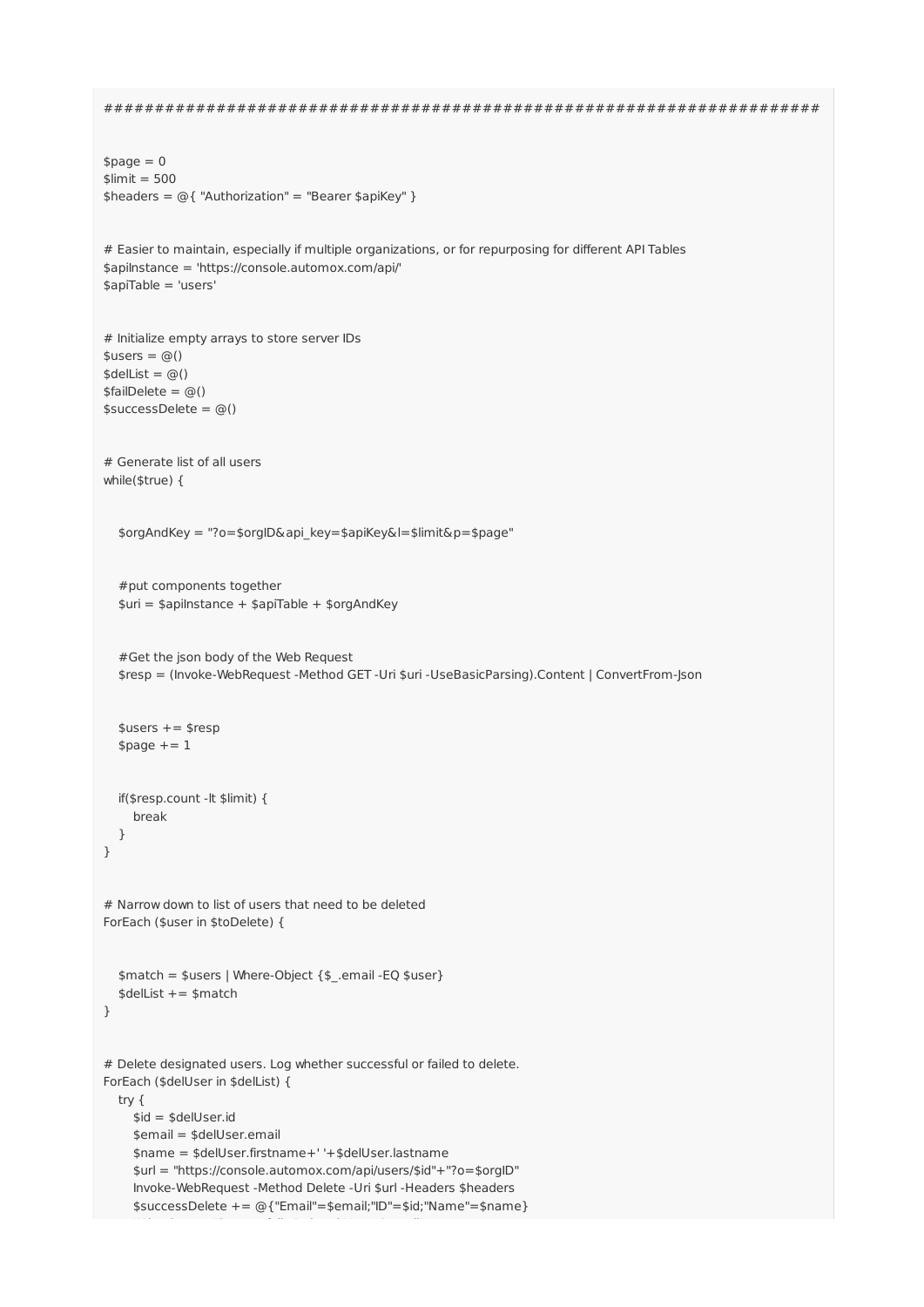```
######################################################################
$page = 0$limit = 500$headers = @{ "Authorization" = "Bearer $apiKey" }
# Easier to maintain, especially if multiple organizations, or for repurposing for different API Tables
$apiInstance = 'https://console.automox.com/api/'
$apiTable = 'users'
# Initialize empty arrays to store server IDs
$users = @()$delList = @()$failDelete = @()$successDelete = @()# Generate list of all users
while($true) {
  $orgAndKey = "?o=$orgID&api_key=$apiKey&l=$limit&p=$page"
  #put components together
  $uri = $apiInstance + $apiTable + $orgAndKey#Get the json body of the Web Request
  $resp = (Invoke-WebRequest -Method GET -Uri $uri -UseBasicParsing).Content | ConvertFrom-Json
  $users += $respspace += 1if($resp.count -lt $limit) {
    break
  }
}
# Narrow down to list of users that need to be deleted
ForEach ($user in $toDelete) {
  $match = $users | Where-Object {$_.email -EQ $user}
  $delList += $match
}
# Delete designated users. Log whether successful or failed to delete.
ForEach ($delUser in $delList) {
 try {
    $id = $delUser.id
    $email = $delUser.email
    $name = $delUser.firstname+' '+$delUser.lastname
    $url = "https://console.automox.com/api/users/$id"+"?o=$orgID"
    Invoke-WebRequest -Method Delete -Uri $url -Headers $headers
    $successDelete += @{"Email"=$email;"ID"=$id;"Name"=$name}
     Write-Output "Successfully Deleted User: $email"
```